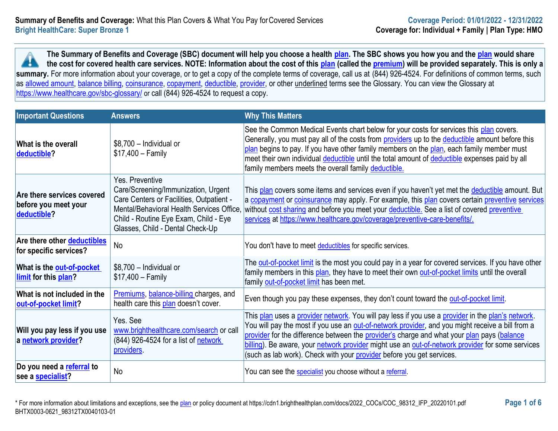**The Summary of Benefits and Coverage (SBC) document will help you choose a health [plan.](https://www.healthcare.gov/sbc-glossary/#plan) The SBC shows you how you and the [plan](https://www.healthcare.gov/sbc-glossary/#plan) would share the cost for covered health care services. NOTE: Information about the cost of this [plan](https://www.healthcare.gov/sbc-glossary/#plan) (called the [premium\)](https://www.healthcare.gov/sbc-glossary/#premium) will be provided separately. This is only a A** summary. For more information about your coverage, or to get a copy of the complete terms of coverage, call us at (844) 926-4524. For definitions of common terms, such as [allowed amount,](https://www.healthcare.gov/sbc-glossary/#allowed-amount) [balance billing,](https://www.healthcare.gov/sbc-glossary/#balance-billing) [coinsurance,](https://www.healthcare.gov/sbc-glossary/#coinsurance) [copayment,](https://www.healthcare.gov/sbc-glossary/#copayment) [deductible,](https://www.healthcare.gov/sbc-glossary/#deductible) [provider,](https://www.healthcare.gov/sbc-glossary/#provider) or other underlined terms see the Glossary. You can view the Glossary at <https://www.healthcare.gov/sbc-glossary/> or call (844) 926-4524 to request a copy.

| <b>Important Questions</b>                                        | <b>Answers</b>                                                                                                                                                                                                               | <b>Why This Matters</b>                                                                                                                                                                                                                                                                                                                                                                                                                                                          |
|-------------------------------------------------------------------|------------------------------------------------------------------------------------------------------------------------------------------------------------------------------------------------------------------------------|----------------------------------------------------------------------------------------------------------------------------------------------------------------------------------------------------------------------------------------------------------------------------------------------------------------------------------------------------------------------------------------------------------------------------------------------------------------------------------|
| <b>What is the overall</b><br>deductible?                         | \$8,700 - Individual or<br>$$17,400 - Family$                                                                                                                                                                                | See the Common Medical Events chart below for your costs for services this plan covers.<br>Generally, you must pay all of the costs from providers up to the deductible amount before this<br>plan begins to pay. If you have other family members on the plan, each family member must<br>meet their own individual deductible until the total amount of deductible expenses paid by all<br>family members meets the overall family deductible.                                 |
| Are there services covered<br>before you meet your<br>deductible? | Yes. Preventive<br>Care/Screening/Immunization, Urgent<br>Care Centers or Facilities, Outpatient -<br>Mental/Behavioral Health Services Office,<br>Child - Routine Eye Exam, Child - Eye<br>Glasses, Child - Dental Check-Up | This plan covers some items and services even if you haven't yet met the deductible amount. But<br>a copayment or coinsurance may apply. For example, this plan covers certain preventive services<br>without cost sharing and before you meet your deductible. See a list of covered preventive<br>services at https://www.healthcare.gov/coverage/preventive-care-benefits/.                                                                                                   |
| Are there other deductibles<br>for specific services?             | <b>No</b>                                                                                                                                                                                                                    | You don't have to meet deductibles for specific services.                                                                                                                                                                                                                                                                                                                                                                                                                        |
| What is the out-of-pocket<br>limit for this plan?                 | \$8,700 - Individual or<br>$$17,400 - Family$                                                                                                                                                                                | The out-of-pocket limit is the most you could pay in a year for covered services. If you have other<br>family members in this plan, they have to meet their own out-of-pocket limits until the overall<br>family out-of-pocket limit has been met.                                                                                                                                                                                                                               |
| What is not included in the<br>out-of-pocket limit?               | Premiums, balance-billing charges, and<br>health care this plan doesn't cover.                                                                                                                                               | Even though you pay these expenses, they don't count toward the out-of-pocket limit.                                                                                                                                                                                                                                                                                                                                                                                             |
| Will you pay less if you use<br>a network provider?               | Yes. See<br>www.brighthealthcare.com/search or call<br>(844) 926-4524 for a list of network<br>providers.                                                                                                                    | This plan uses a provider network. You will pay less if you use a provider in the plan's network.<br>You will pay the most if you use an out-of-network provider, and you might receive a bill from a<br>provider for the difference between the provider's charge and what your plan pays (balance<br>billing). Be aware, your network provider might use an out-of-network provider for some services<br>(such as lab work). Check with your provider before you get services. |
| Do you need a referral to<br>see a <b>specialist</b> ?            | No                                                                                                                                                                                                                           | You can see the specialist you choose without a referral.                                                                                                                                                                                                                                                                                                                                                                                                                        |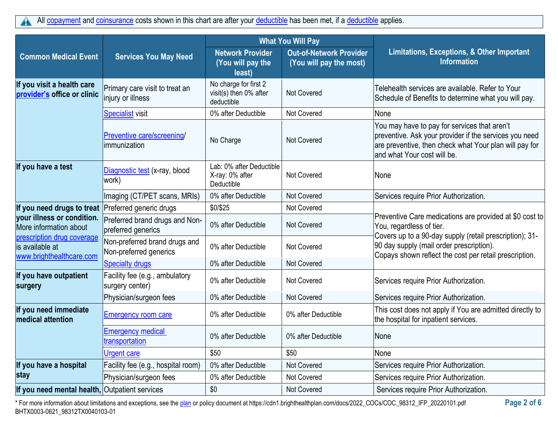|                                                                           |                                                         |                                                               | <b>What You Will Pay</b>                                  |                                                                                                                                                                                                 |
|---------------------------------------------------------------------------|---------------------------------------------------------|---------------------------------------------------------------|-----------------------------------------------------------|-------------------------------------------------------------------------------------------------------------------------------------------------------------------------------------------------|
| <b>Common Medical Event</b>                                               | <b>Services You May Need</b>                            | <b>Network Provider</b><br>(You will pay the<br>least)        | <b>Out-of-Network Provider</b><br>(You will pay the most) | Limitations, Exceptions, & Other Important<br><b>Information</b>                                                                                                                                |
| If you visit a health care<br>provider's office or clinic                 | Primary care visit to treat an<br>injury or illness     | No charge for first 2<br>visit(s) then 0% after<br>deductible | <b>Not Covered</b>                                        | Telehealth services are available. Refer to Your<br>Schedule of Benefits to determine what you will pay.                                                                                        |
|                                                                           | <b>Specialist visit</b>                                 | 0% after Deductible                                           | Not Covered                                               | None                                                                                                                                                                                            |
|                                                                           | Preventive care/screening/<br>immunization              | No Charge                                                     | Not Covered                                               | You may have to pay for services that aren't<br>preventive. Ask your provider if the services you need<br>are preventive, then check what Your plan will pay for<br>and what Your cost will be. |
| If you have a test                                                        | Diagnostic test (x-ray, blood<br>work)                  | Lab: 0% after Deductible<br>X-ray: 0% after<br>Deductible     | <b>Not Covered</b>                                        | None                                                                                                                                                                                            |
|                                                                           | Imaging (CT/PET scans, MRIs)                            | 0% after Deductible                                           | Not Covered                                               | Services require Prior Authorization.                                                                                                                                                           |
| If you need drugs to treat                                                | Preferred generic drugs                                 | \$0/\$25                                                      | Not Covered                                               |                                                                                                                                                                                                 |
| your illness or condition.<br>More information about                      | Preferred brand drugs and Non-<br>preferred generics    | 0% after Deductible                                           | <b>Not Covered</b>                                        | Preventive Care medications are provided at \$0 cost to<br>You, regardless of tier.                                                                                                             |
| prescription drug coverage<br>is available at<br>www.brighthealthcare.com | Non-preferred brand drugs and<br>Non-preferred generics | 0% after Deductible                                           | Not Covered                                               | Covers up to a 90-day supply (retail prescription); 31-<br>90 day supply (mail order prescription).<br>Copays shown reflect the cost per retail prescription.                                   |
|                                                                           | <b>Specialty drugs</b>                                  | 0% after Deductible                                           | Not Covered                                               |                                                                                                                                                                                                 |
| If you have outpatient<br>surgery                                         | Facility fee (e.g., ambulatory<br>surgery center)       | 0% after Deductible                                           | <b>Not Covered</b>                                        | Services require Prior Authorization.                                                                                                                                                           |
|                                                                           | Physician/surgeon fees                                  | 0% after Deductible                                           | <b>Not Covered</b>                                        | Services require Prior Authorization.                                                                                                                                                           |
| If you need immediate<br>medical attention                                | <b>Emergency room care</b>                              | 0% after Deductible                                           | 0% after Deductible                                       | This cost does not apply if You are admitted directly to<br>the hospital for inpatient services.                                                                                                |
|                                                                           | <b>Emergency medical</b><br>transportation              | 0% after Deductible                                           | 0% after Deductible                                       | None                                                                                                                                                                                            |
|                                                                           | <b>Urgent care</b>                                      | \$50                                                          | \$50                                                      | None                                                                                                                                                                                            |
| If you have a hospital                                                    | Facility fee (e.g., hospital room)                      | 0% after Deductible                                           | <b>Not Covered</b>                                        | Services require Prior Authorization.                                                                                                                                                           |
| stay                                                                      | Physician/surgeon fees                                  | 0% after Deductible                                           | <b>Not Covered</b>                                        | Services require Prior Authorization.                                                                                                                                                           |
| If you need mental health, Outpatient services                            |                                                         | \$0                                                           | <b>Not Covered</b>                                        | Services require Prior Authorization.                                                                                                                                                           |

\* For more information about limitations and exceptions, see the [plan](https://www.healthcare.gov/sbc-glossary/#plan) or policy document at https://cdn1.brighthealthplan.com/docs/2022\_COCs/COC\_98312\_IFP\_20220101.pdf **Page 2 of 6** BHTX0003-0621\_98312TX0040103-01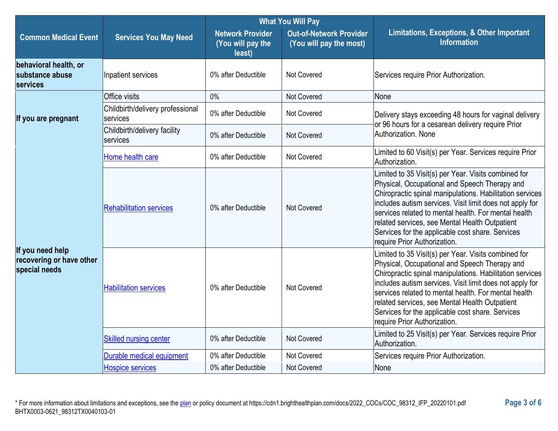|                                                               |                                              | <b>What You Will Pay</b>                               |                                                           |                                                                                                                                                                                                                                                                                                                                                                                                                             |  |
|---------------------------------------------------------------|----------------------------------------------|--------------------------------------------------------|-----------------------------------------------------------|-----------------------------------------------------------------------------------------------------------------------------------------------------------------------------------------------------------------------------------------------------------------------------------------------------------------------------------------------------------------------------------------------------------------------------|--|
| <b>Common Medical Event</b>                                   | <b>Services You May Need</b>                 | <b>Network Provider</b><br>(You will pay the<br>least) | <b>Out-of-Network Provider</b><br>(You will pay the most) | Limitations, Exceptions, & Other Important<br><b>Information</b>                                                                                                                                                                                                                                                                                                                                                            |  |
| behavioral health, or<br>substance abuse<br><b>services</b>   | Inpatient services                           | 0% after Deductible                                    | <b>Not Covered</b>                                        | Services require Prior Authorization.                                                                                                                                                                                                                                                                                                                                                                                       |  |
|                                                               | Office visits                                | 0%                                                     | <b>Not Covered</b>                                        | None                                                                                                                                                                                                                                                                                                                                                                                                                        |  |
| If you are pregnant                                           | Childbirth/delivery professional<br>services | 0% after Deductible                                    | <b>Not Covered</b>                                        | Delivery stays exceeding 48 hours for vaginal delivery                                                                                                                                                                                                                                                                                                                                                                      |  |
|                                                               | Childbirth/delivery facility<br>services     | 0% after Deductible                                    | <b>Not Covered</b>                                        | or 96 hours for a cesarean delivery require Prior<br>Authorization, None                                                                                                                                                                                                                                                                                                                                                    |  |
|                                                               | Home health care                             | 0% after Deductible                                    | <b>Not Covered</b>                                        | Limited to 60 Visit(s) per Year. Services require Prior<br>Authorization.                                                                                                                                                                                                                                                                                                                                                   |  |
| If you need help<br>recovering or have other<br>special needs | <b>Rehabilitation services</b>               | 0% after Deductible                                    | Not Covered                                               | Limited to 35 Visit(s) per Year. Visits combined for<br>Physical, Occupational and Speech Therapy and<br>Chiropractic spinal manipulations. Habilitation services<br>includes autism services. Visit limit does not apply for<br>services related to mental health. For mental health<br>related services, see Mental Health Outpatient<br>Services for the applicable cost share. Services<br>require Prior Authorization. |  |
|                                                               | <b>Habilitation services</b>                 | 0% after Deductible                                    | Not Covered                                               | Limited to 35 Visit(s) per Year. Visits combined for<br>Physical, Occupational and Speech Therapy and<br>Chiropractic spinal manipulations. Habilitation services<br>includes autism services. Visit limit does not apply for<br>services related to mental health. For mental health<br>related services, see Mental Health Outpatient<br>Services for the applicable cost share. Services<br>require Prior Authorization. |  |
|                                                               | <b>Skilled nursing center</b>                | 0% after Deductible                                    | <b>Not Covered</b>                                        | Limited to 25 Visit(s) per Year. Services require Prior<br>Authorization.                                                                                                                                                                                                                                                                                                                                                   |  |
|                                                               | Durable medical equipment                    | 0% after Deductible                                    | Not Covered                                               | Services require Prior Authorization.                                                                                                                                                                                                                                                                                                                                                                                       |  |
|                                                               | <b>Hospice services</b>                      | 0% after Deductible                                    | Not Covered                                               | None                                                                                                                                                                                                                                                                                                                                                                                                                        |  |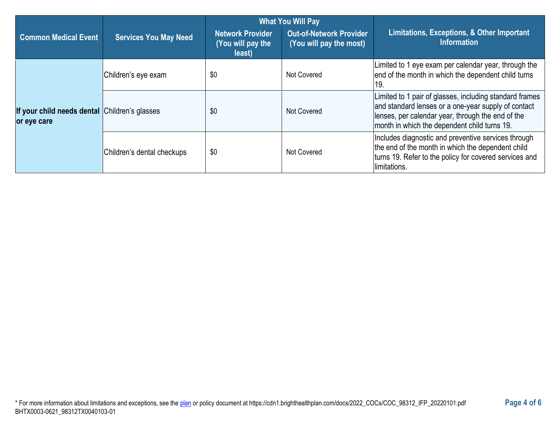|                                                              |                              |                                                        | <b>What You Will Pay</b>                                  |                                                                                                                                                                                                                     |
|--------------------------------------------------------------|------------------------------|--------------------------------------------------------|-----------------------------------------------------------|---------------------------------------------------------------------------------------------------------------------------------------------------------------------------------------------------------------------|
| <b>Common Medical Event</b>                                  | <b>Services You May Need</b> | <b>Network Provider</b><br>(You will pay the<br>least) | <b>Out-of-Network Provider</b><br>(You will pay the most) | Limitations, Exceptions, & Other Important<br><b>Information</b>                                                                                                                                                    |
|                                                              | Children's eye exam          | \$0                                                    | Not Covered                                               | Limited to 1 eye exam per calendar year, through the<br>end of the month in which the dependent child turns<br>19.                                                                                                  |
| If your child needs dental Children's glasses<br>or eye care |                              | \$0                                                    | Not Covered                                               | Limited to 1 pair of glasses, including standard frames<br>and standard lenses or a one-year supply of contact<br>lenses, per calendar year, through the end of the<br>month in which the dependent child turns 19. |
|                                                              | Children's dental checkups   | \$0                                                    | Not Covered                                               | Includes diagnostic and preventive services through<br>the end of the month in which the dependent child<br>turns 19. Refer to the policy for covered services and<br>limitations.                                  |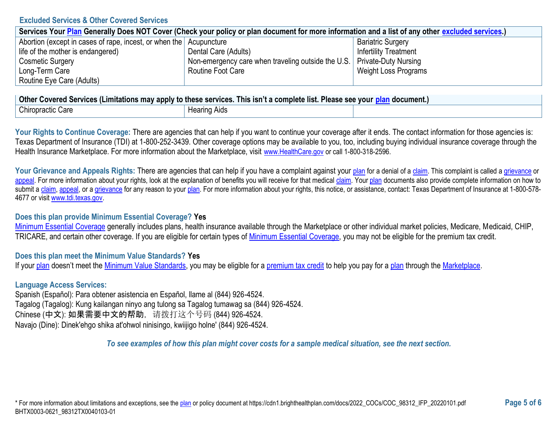### **Excluded Services & Other Covered Services**

| Services Your Plan Generally Does NOT Cover (Check your policy or plan document for more information and a list of any other excluded services.) |                                                                           |                              |  |
|--------------------------------------------------------------------------------------------------------------------------------------------------|---------------------------------------------------------------------------|------------------------------|--|
| Abortion (except in cases of rape, incest, or when the Acupuncture                                                                               |                                                                           | <b>Bariatric Surgery</b>     |  |
| life of the mother is endangered)                                                                                                                | Dental Care (Adults)                                                      | <b>Infertility Treatment</b> |  |
| <b>Cosmetic Surgery</b>                                                                                                                          | Non-emergency care when traveling outside the U.S.   Private-Duty Nursing |                              |  |
| Long-Term Care                                                                                                                                   | Routine Foot Care                                                         | Weight Loss Programs         |  |
| Routine Eye Care (Adults)                                                                                                                        |                                                                           |                              |  |

| │ Other Covered Services (Limitations may apply to these services. This isn't a complete list. Please see your <u>plan</u> document.) │ |                     |  |  |
|-----------------------------------------------------------------------------------------------------------------------------------------|---------------------|--|--|
| Chiropractic Care                                                                                                                       | <b>Hearing Aids</b> |  |  |

Your Rights to Continue Coverage: There are agencies that can help if you want to continue your coverage after it ends. The contact information for those agencies is: Texas Department of Insurance (TDI) at 1-800-252-3439. Other coverage options may be available to you, too, including buying individual insurance coverage through the Health Insurance Marketplace. For more information about the Marketplace, visit [www.HealthCare.gov](https://www.healthcare.gov/) or call 1-800-318-2596.

Your Grievance and Appeals Rights: There are agencies that can help if you have a complaint against your [plan](https://www.healthcare.gov/sbc-glossary/#plan) for a denial of [a claim.](https://www.healthcare.gov/sbc-glossary/#claim) This complaint is called a [grievance](https://www.healthcare.gov/sbc-glossary/#grievance) or [appeal.](https://www.healthcare.gov/sbc-glossary/#appeal) For more information about your rights, look at the explanation of benefits you will receive for that medical [claim.](https://www.healthcare.gov/sbc-glossary/#claim) You[r plan](https://www.healthcare.gov/sbc-glossary/#plan) documents also provide complete information on how to submit a [claim,](https://www.healthcare.gov/sbc-glossary/#claim) [appeal,](https://www.healthcare.gov/sbc-glossary/#appeal) or [a grievance](https://www.healthcare.gov/sbc-glossary/#grievance) for any reason to your [plan.](https://www.healthcare.gov/sbc-glossary/#plan) For more information about your rights, this notice, or assistance, contact: Texas Department of Insurance at 1-800-578-4677 or visi[t www.tdi.texas.gov.](https://www.tdi.texas.gov/)

## **Does this plan provide Minimum Essential Coverage? Yes**

[Minimum Essential Coverage](https://www.healthcare.gov/sbc-glossary/#minimum-essential-coverage) generally includes plans, health insurance available through the Marketplace or other individual market policies, Medicare, Medicaid, CHIP, TRICARE, and certain other coverage. If you are eligible for certain types of [Minimum Essential Coverage,](https://www.healthcare.gov/sbc-glossary/#minimum-essential-coverage) you may not be eligible for the premium tax credit.

## **Does this plan meet the Minimum Value Standards? Yes**

If you[r plan](https://www.healthcare.gov/sbc-glossary/#plan) doesn't meet the [Minimum Value Standards,](https://www.healthcare.gov/sbc-glossary/#minimum-value-standard) you may be eligible for a [premium tax credit](https://www.healthcare.gov/sbc-glossary/#premium-tax-credits) to help you pay for a [plan](https://www.healthcare.gov/sbc-glossary/#plan) through the [Marketplace.](https://www.healthcare.gov/sbc-glossary/#marketplace)

## **Language Access Services:**

Spanish (Español): Para obtener asistencia en Español, llame al (844) 926-4524. Tagalog (Tagalog): Kung kailangan ninyo ang tulong sa Tagalog tumawag sa (844) 926-4524. Chinese (中文): 如果需要中文的帮助,请拨打这个号码 (844) 926-4524. Navajo (Dine): Dinek'ehgo shika at'ohwol ninisingo, kwiijigo holne' (844) 926-4524.

*To see examples of how this plan might cover costs for a sample medical situation, see the next section.*